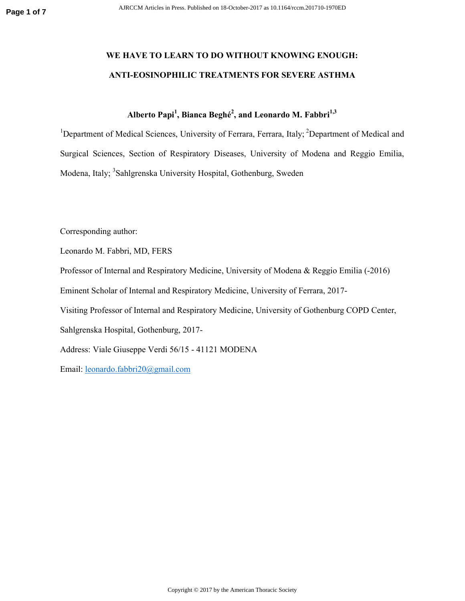## **WE HAVE TO LEARN TO DO WITHOUT KNOWING ENOUGH: ANTI-EOSINOPHILIC TREATMENTS FOR SEVERE ASTHMA**

## **Alberto Papi<sup>1</sup> , Bianca Beghé<sup>2</sup> , and Leonardo M. Fabbri1,3**

<sup>1</sup>Department of Medical Sciences, University of Ferrara, Ferrara, Italy; <sup>2</sup>Department of Medical and Surgical Sciences, Section of Respiratory Diseases, University of Modena and Reggio Emilia, Modena, Italy; <sup>3</sup>Sahlgrenska University Hospital, Gothenburg, Sweden

Corresponding author:

Leonardo M. Fabbri, MD, FERS

Professor of Internal and Respiratory Medicine, University of Modena & Reggio Emilia (-2016)

Eminent Scholar of Internal and Respiratory Medicine, University of Ferrara, 2017-

Visiting Professor of Internal and Respiratory Medicine, University of Gothenburg COPD Center,

Sahlgrenska Hospital, Gothenburg, 2017-

Address: Viale Giuseppe Verdi 56/15 - 41121 MODENA

Email: leonardo.fabbri20@gmail.com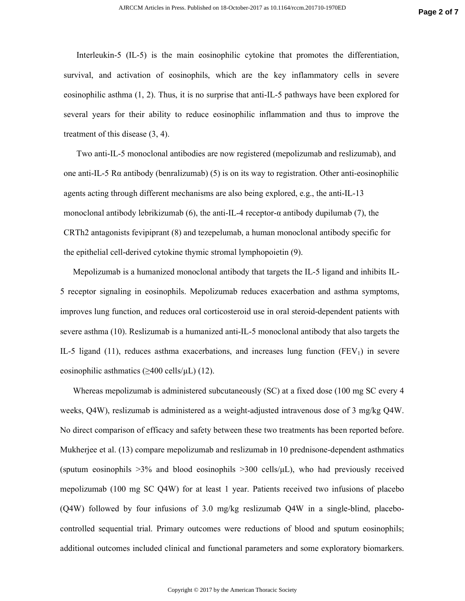Interleukin-5 (IL-5) is the main eosinophilic cytokine that promotes the differentiation, survival, and activation of eosinophils, which are the key inflammatory cells in severe eosinophilic asthma (1, 2). Thus, it is no surprise that anti-IL-5 pathways have been explored for several years for their ability to reduce eosinophilic inflammation and thus to improve the treatment of this disease (3, 4).

Two anti-IL-5 monoclonal antibodies are now registered (mepolizumab and reslizumab), and one anti-IL-5 R $\alpha$  antibody (benralizumab) (5) is on its way to registration. Other anti-eosinophilic agents acting through different mechanisms are also being explored, e.g., the anti-IL-13 monoclonal antibody lebrikizumab (6), the anti-IL-4 receptor- $\alpha$  antibody dupilumab (7), the CRTh2 antagonists fevipiprant (8) and tezepelumab, a human monoclonal antibody specific for the epithelial cell-derived cytokine thymic stromal lymphopoietin (9).

Mepolizumab is a humanized monoclonal antibody that targets the IL-5 ligand and inhibits IL-5 receptor signaling in eosinophils. Mepolizumab reduces exacerbation and asthma symptoms, improves lung function, and reduces oral corticosteroid use in oral steroid-dependent patients with severe asthma (10). Reslizumab is a humanized anti-IL-5 monoclonal antibody that also targets the IL-5 ligand (11), reduces asthma exacerbations, and increases lung function  $(FEV<sub>1</sub>)$  in severe eosinophilic asthmatics  $(\geq 400 \text{ cells/µL})$  (12).

Whereas mepolizumab is administered subcutaneously (SC) at a fixed dose (100 mg SC every 4 weeks, Q4W), reslizumab is administered as a weight-adjusted intravenous dose of 3 mg/kg Q4W. No direct comparison of efficacy and safety between these two treatments has been reported before. Mukherjee et al. (13) compare mepolizumab and reslizumab in 10 prednisone-dependent asthmatics (sputum eosinophils  $>3\%$  and blood eosinophils  $>300$  cells/ $\mu$ L), who had previously received mepolizumab (100 mg SC Q4W) for at least 1 year. Patients received two infusions of placebo (Q4W) followed by four infusions of 3.0 mg/kg reslizumab Q4W in a single-blind, placebocontrolled sequential trial. Primary outcomes were reductions of blood and sputum eosinophils; additional outcomes included clinical and functional parameters and some exploratory biomarkers.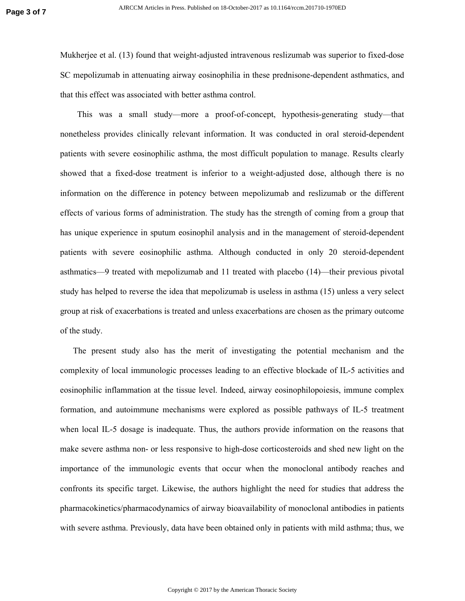Mukherjee et al. (13) found that weight-adjusted intravenous reslizumab was superior to fixed-dose SC mepolizumab in attenuating airway eosinophilia in these prednisone-dependent asthmatics, and that this effect was associated with better asthma control.

This was a small study—more a proof-of-concept, hypothesis-generating study—that nonetheless provides clinically relevant information. It was conducted in oral steroid-dependent patients with severe eosinophilic asthma, the most difficult population to manage. Results clearly showed that a fixed-dose treatment is inferior to a weight-adjusted dose, although there is no information on the difference in potency between mepolizumab and reslizumab or the different effects of various forms of administration. The study has the strength of coming from a group that has unique experience in sputum eosinophil analysis and in the management of steroid-dependent patients with severe eosinophilic asthma. Although conducted in only 20 steroid-dependent asthmatics—9 treated with mepolizumab and 11 treated with placebo (14)—their previous pivotal study has helped to reverse the idea that mepolizumab is useless in asthma (15) unless a very select group at risk of exacerbations is treated and unless exacerbations are chosen as the primary outcome of the study.

The present study also has the merit of investigating the potential mechanism and the complexity of local immunologic processes leading to an effective blockade of IL-5 activities and eosinophilic inflammation at the tissue level. Indeed, airway eosinophilopoiesis, immune complex formation, and autoimmune mechanisms were explored as possible pathways of IL-5 treatment when local IL-5 dosage is inadequate. Thus, the authors provide information on the reasons that make severe asthma non- or less responsive to high-dose corticosteroids and shed new light on the importance of the immunologic events that occur when the monoclonal antibody reaches and confronts its specific target. Likewise, the authors highlight the need for studies that address the pharmacokinetics/pharmacodynamics of airway bioavailability of monoclonal antibodies in patients with severe asthma. Previously, data have been obtained only in patients with mild asthma; thus, we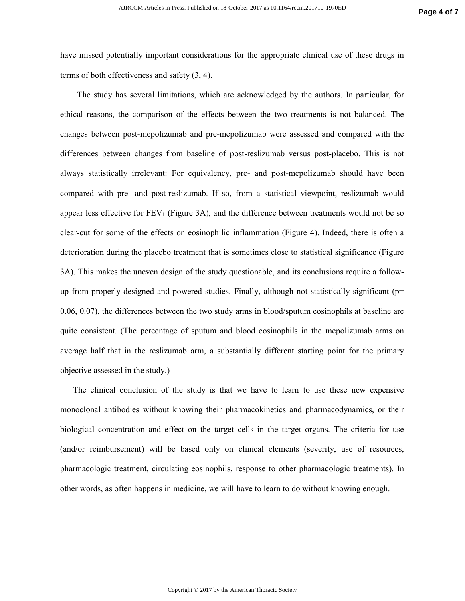have missed potentially important considerations for the appropriate clinical use of these drugs in terms of both effectiveness and safety (3, 4).

The study has several limitations, which are acknowledged by the authors. In particular, for ethical reasons, the comparison of the effects between the two treatments is not balanced. The changes between post-mepolizumab and pre-mepolizumab were assessed and compared with the differences between changes from baseline of post-reslizumab versus post-placebo. This is not always statistically irrelevant: For equivalency, pre- and post-mepolizumab should have been compared with pre- and post-reslizumab. If so, from a statistical viewpoint, reslizumab would appear less effective for  $FEV_1$  (Figure 3A), and the difference between treatments would not be so clear-cut for some of the effects on eosinophilic inflammation (Figure 4). Indeed, there is often a deterioration during the placebo treatment that is sometimes close to statistical significance (Figure 3A). This makes the uneven design of the study questionable, and its conclusions require a followup from properly designed and powered studies. Finally, although not statistically significant (p= 0.06, 0.07), the differences between the two study arms in blood/sputum eosinophils at baseline are quite consistent. (The percentage of sputum and blood eosinophils in the mepolizumab arms on average half that in the reslizumab arm, a substantially different starting point for the primary objective assessed in the study.)

The clinical conclusion of the study is that we have to learn to use these new expensive monoclonal antibodies without knowing their pharmacokinetics and pharmacodynamics, or their biological concentration and effect on the target cells in the target organs. The criteria for use (and/or reimbursement) will be based only on clinical elements (severity, use of resources, pharmacologic treatment, circulating eosinophils, response to other pharmacologic treatments). In other words, as often happens in medicine, we will have to learn to do without knowing enough.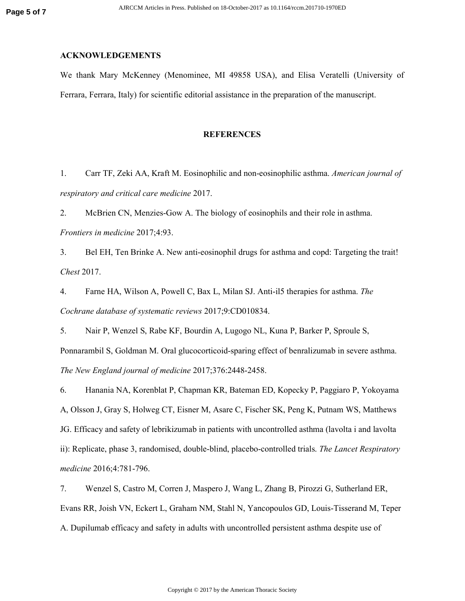## **ACKNOWLEDGEMENTS**

We thank Mary McKenney (Menominee, MI 49858 USA), and Elisa Veratelli (University of Ferrara, Ferrara, Italy) for scientific editorial assistance in the preparation of the manuscript.

## **REFERENCES**

1. Carr TF, Zeki AA, Kraft M. Eosinophilic and non-eosinophilic asthma. *American journal of respiratory and critical care medicine* 2017.

2. McBrien CN, Menzies-Gow A. The biology of eosinophils and their role in asthma. *Frontiers in medicine* 2017;4:93.

3. Bel EH, Ten Brinke A. New anti-eosinophil drugs for asthma and copd: Targeting the trait! *Chest* 2017.

4. Farne HA, Wilson A, Powell C, Bax L, Milan SJ. Anti-il5 therapies for asthma. *The Cochrane database of systematic reviews* 2017;9:CD010834.

5. Nair P, Wenzel S, Rabe KF, Bourdin A, Lugogo NL, Kuna P, Barker P, Sproule S, Ponnarambil S, Goldman M. Oral glucocorticoid-sparing effect of benralizumab in severe asthma. *The New England journal of medicine* 2017;376:2448-2458.

6. Hanania NA, Korenblat P, Chapman KR, Bateman ED, Kopecky P, Paggiaro P, Yokoyama A, Olsson J, Gray S, Holweg CT, Eisner M, Asare C, Fischer SK, Peng K, Putnam WS, Matthews JG. Efficacy and safety of lebrikizumab in patients with uncontrolled asthma (lavolta i and lavolta ii): Replicate, phase 3, randomised, double-blind, placebo-controlled trials. *The Lancet Respiratory medicine* 2016;4:781-796.

7. Wenzel S, Castro M, Corren J, Maspero J, Wang L, Zhang B, Pirozzi G, Sutherland ER, Evans RR, Joish VN, Eckert L, Graham NM, Stahl N, Yancopoulos GD, Louis-Tisserand M, Teper A. Dupilumab efficacy and safety in adults with uncontrolled persistent asthma despite use of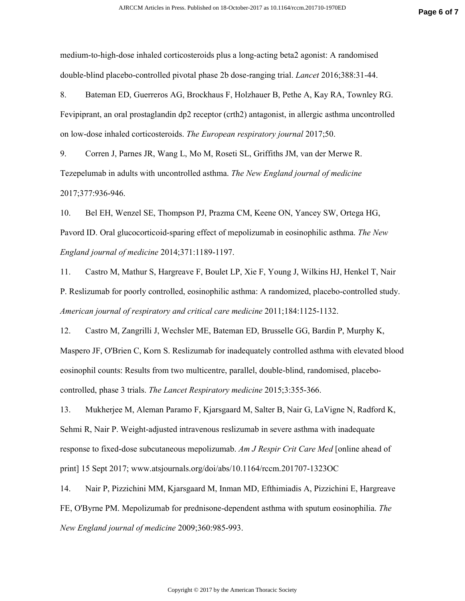medium-to-high-dose inhaled corticosteroids plus a long-acting beta2 agonist: A randomised double-blind placebo-controlled pivotal phase 2b dose-ranging trial. *Lancet* 2016;388:31-44.

8. Bateman ED, Guerreros AG, Brockhaus F, Holzhauer B, Pethe A, Kay RA, Townley RG. Fevipiprant, an oral prostaglandin dp2 receptor (crth2) antagonist, in allergic asthma uncontrolled on low-dose inhaled corticosteroids. *The European respiratory journal* 2017;50.

9. Corren J, Parnes JR, Wang L, Mo M, Roseti SL, Griffiths JM, van der Merwe R. Tezepelumab in adults with uncontrolled asthma. *The New England journal of medicine*  2017;377:936-946.

10. Bel EH, Wenzel SE, Thompson PJ, Prazma CM, Keene ON, Yancey SW, Ortega HG, Pavord ID. Oral glucocorticoid-sparing effect of mepolizumab in eosinophilic asthma. *The New England journal of medicine* 2014;371:1189-1197.

11. Castro M, Mathur S, Hargreave F, Boulet LP, Xie F, Young J, Wilkins HJ, Henkel T, Nair P. Reslizumab for poorly controlled, eosinophilic asthma: A randomized, placebo-controlled study. *American journal of respiratory and critical care medicine* 2011;184:1125-1132.

12. Castro M, Zangrilli J, Wechsler ME, Bateman ED, Brusselle GG, Bardin P, Murphy K, Maspero JF, O'Brien C, Korn S. Reslizumab for inadequately controlled asthma with elevated blood eosinophil counts: Results from two multicentre, parallel, double-blind, randomised, placebocontrolled, phase 3 trials. *The Lancet Respiratory medicine* 2015;3:355-366.

13. Mukherjee M, Aleman Paramo F, Kjarsgaard M, Salter B, Nair G, LaVigne N, Radford K, Sehmi R, Nair P. Weight-adjusted intravenous reslizumab in severe asthma with inadequate response to fixed-dose subcutaneous mepolizumab. *Am J Respir Crit Care Med* [online ahead of print] 15 Sept 2017; www.atsjournals.org/doi/abs/10.1164/rccm.201707-1323OC

14. Nair P, Pizzichini MM, Kjarsgaard M, Inman MD, Efthimiadis A, Pizzichini E, Hargreave FE, O'Byrne PM. Mepolizumab for prednisone-dependent asthma with sputum eosinophilia. *The New England journal of medicine* 2009;360:985-993.